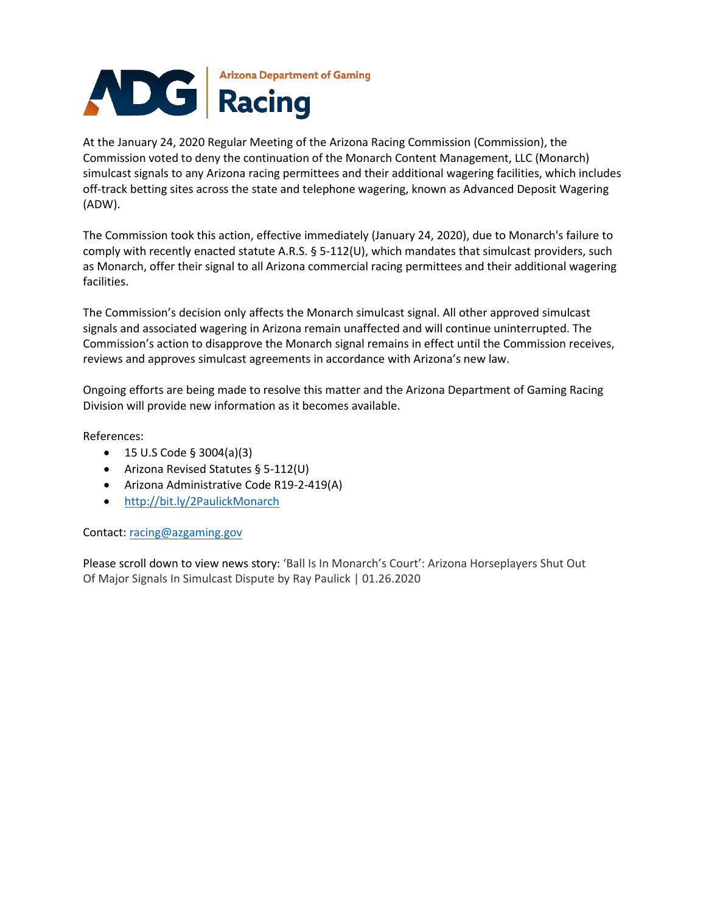

At the January 24, 2020 Regular Meeting of the Arizona Racing Commission (Commission), the Commission voted to deny the continuation of the Monarch Content Management, LLC (Monarch) simulcast signals to any Arizona racing permittees and their additional wagering facilities, which includes off-track betting sites across the state and telephone wagering, known as Advanced Deposit Wagering (ADW).

The Commission took this action, effective immediately (January 24, 2020), due to Monarch's failure to comply with recently enacted statute A.R.S. § 5-112(U), which mandates that simulcast providers, such as Monarch, offer their signal to all Arizona commercial racing permittees and their additional wagering facilities.

The Commission's decision only affects the Monarch simulcast signal. All other approved simulcast signals and associated wagering in Arizona remain unaffected and will continue uninterrupted. The Commission's action to disapprove the Monarch signal remains in effect until the Commission receives, reviews and approves simulcast agreements in accordance with Arizona's new law.

Ongoing efforts are being made to resolve this matter and the Arizona Department of Gaming Racing Division will provide new information as it becomes available.

References:

- 15 U.S Code § 3004(a)(3)
- Arizona Revised Statutes § 5-112(U)
- Arizona Administrative Code R19-2-419(A)
- <http://bit.ly/2PaulickMonarch>

Contact: [racing@azgaming.gov](mailto:racing@azgaming.gov)

Please scroll down to view news story: 'Ball Is In Monarch's Court': Arizona Horseplayers Shut Out Of Major Signals In Simulcast Dispute by Ray Paulick | 01.26.2020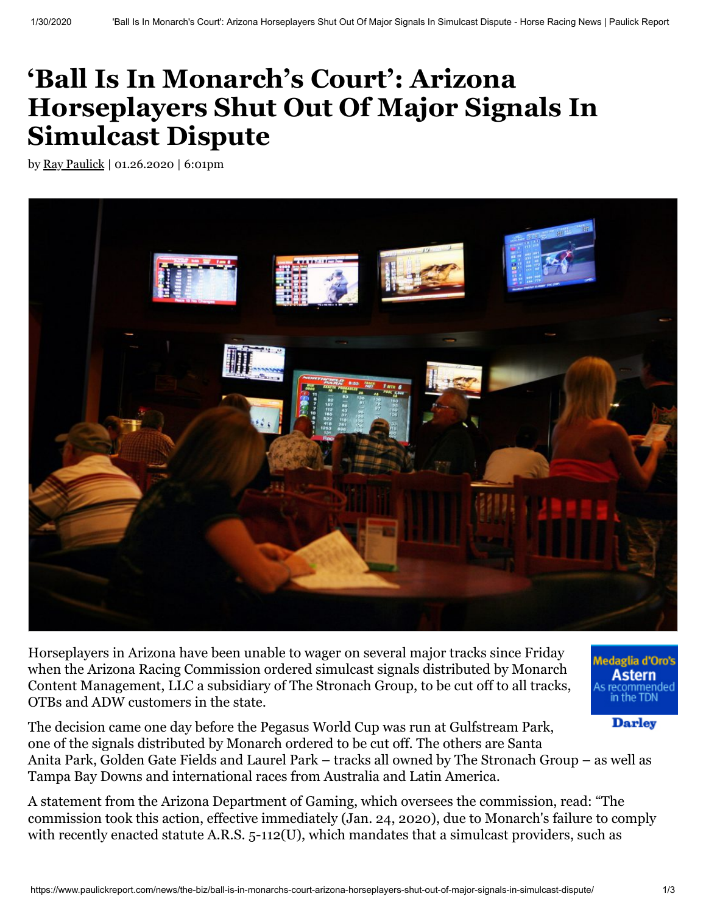## **'Ball Is In Monarch's Court': Arizona Horseplayers Shut Out Of Major Signals In Simulcast Dispute**

by Ray [Paulick](https://www.paulickreport.com/author/ray-paulick-2/) | 01.26.2020 | 6:01pm



Horseplayers in Arizona have been unable to wager on several major tracks since Friday when the Arizona Racing Commission ordered simulcast signals distributed by Monarch Content Management, LLC a subsidiary of The Stronach Group, to be cut off to all tracks, OTBs and ADW customers in the state.

edaglia d'Oro's Astern recommended<br>in the TDN

**Darley** 

The decision came one day before the Pegasus World Cup was run at Gulfstream Park, one of the signals distributed by Monarch ordered to be cut off. The others are Santa Anita Park, Golden Gate Fields and Laurel Park – tracks all owned by The Stronach Group – as well as Tampa Bay Downs and international races from Australia and Latin America.

A statement from the Arizona Department of Gaming, which oversees the commission, read: "The commission took this action, effective immediately (Jan. 24, 2020), due to Monarch's failure to comply with recently enacted statute A.R.S. 5-112(U), which mandates that a simulcast providers, such as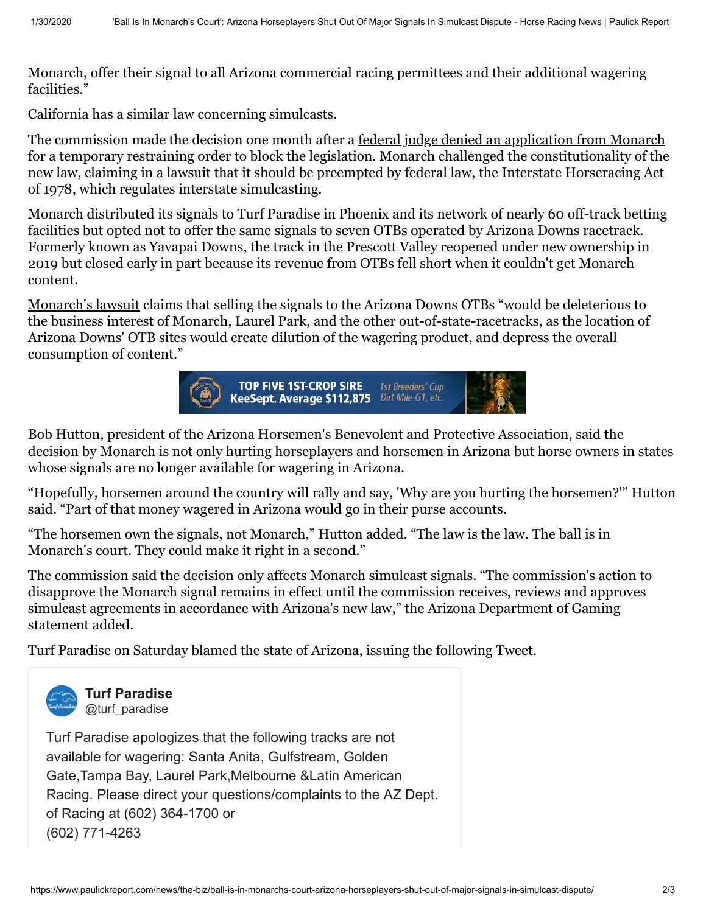Monarch, offer their signal to all Arizona commercial racing permittees and their additional wagering facilities."

California has a similar law concerning simulcasts.

The commission made the decision one month after a <u>[federal judge denied an application from Monarch](https://www.paulickreport.com/news/the-biz/federal-judge-denies-injunction-in-challenge-to-new-arizona-simulcasting/)</u> for a temporary restraining order to block the legislation. Monarch challenged the constitutionality of the new law, claiming in a lawsuit that it should be preempted by federal law, the Interstate Horseracing Act of 1978, which regulates interstate simulcasting.

Monarch distributed its signals to Turf Paradise in Phoenix and its network of nearly 60 off-track betting facilities but opted not to offer the same signals to seven OTBs operated by Arizona Downs racetrack. Formerly known as Yavapai Downs, the track in the Prescott Valley reopened under new ownership in 2019 but closed early in part because its revenue from OTBs fell short when it couldn't get Monarch content.

[Monarch's lawsuit](https://www.paulickreport.com/wp-content/uploads/2019/12/Monarch-Complaint_aug2019.pdf) claims that selling the signals to the Arizona Downs OTBs "would be deleterious to the business interest of Monarch, Laurel Park, and the other out-of-state-racetracks, as the location of Arizona Downs' OTB sites would create dilution of the wagering product, and depress the overall consumption of content."



Bob Hutton, president of the Arizona Horsemen's Benevolent and Protective Association, said the decision by Monarch is not only hurting horseplayers and horsemen in Arizona but horse owners in states whose signals are no longer available for wagering in Arizona.

"Hopefully, horsemen around the country will rally and say, 'Why are you hurting the horsemen?'" Hutton said. "Part of that money wagered in Arizona would go in their purse accounts.

"The horsemen own the signals, not Monarch," Hutton added. "The law is the law. The ball is in Monarch's court. They could make it right in a second."

The commission said the decision only affects Monarch simulcast signals. "The commission's action to disapprove the Monarch signal remains in effect until the commission receives, reviews and approves simulcast agreements in accordance with Arizona's new law," the Arizona Department of Gaming statement added.

Turf Paradise on Saturday blamed the state of Arizona, issuing the following Tweet.



**[Turf Paradise](https://twitter.com/turf_paradise)** @turf\_paradise

Turf Paradise apologizes that the following tracks are not available for wagering: Santa Anita, Gulfstream, Golden Gate,Tampa Bay, Laurel Park,Melbourne &Latin American Racing. Please direct your questions/complaints to the AZ Dept. of Racing at (602) 364-1700 or (602) 771-4263